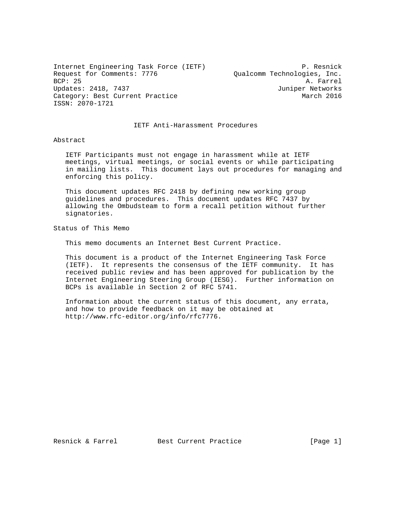Internet Engineering Task Force (IETF) P. Resnick Request for Comments: 7776  $Qualcomm$  Technologies, Inc.<br>BCP: 25 A. Farrel Updates: 2418, 7437 Juniper Networks Category: Best Current Practice March 2016 ISSN: 2070-1721

A. Farrel

IETF Anti-Harassment Procedures

## Abstract

 IETF Participants must not engage in harassment while at IETF meetings, virtual meetings, or social events or while participating in mailing lists. This document lays out procedures for managing and enforcing this policy.

 This document updates RFC 2418 by defining new working group guidelines and procedures. This document updates RFC 7437 by allowing the Ombudsteam to form a recall petition without further signatories.

Status of This Memo

This memo documents an Internet Best Current Practice.

 This document is a product of the Internet Engineering Task Force (IETF). It represents the consensus of the IETF community. It has received public review and has been approved for publication by the Internet Engineering Steering Group (IESG). Further information on BCPs is available in Section 2 of RFC 5741.

 Information about the current status of this document, any errata, and how to provide feedback on it may be obtained at http://www.rfc-editor.org/info/rfc7776.

Resnick & Farrel Best Current Practice [Page 1]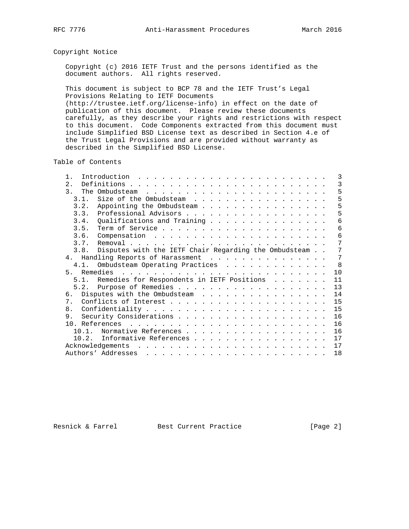## Copyright Notice

 Copyright (c) 2016 IETF Trust and the persons identified as the document authors. All rights reserved.

 This document is subject to BCP 78 and the IETF Trust's Legal Provisions Relating to IETF Documents (http://trustee.ietf.org/license-info) in effect on the date of publication of this document. Please review these documents carefully, as they describe your rights and restrictions with respect to this document. Code Components extracted from this document must include Simplified BSD License text as described in Section 4.e of the Trust Legal Provisions and are provided without warranty as described in the Simplified BSD License.

Table of Contents

| 2.<br>$\mathcal{R}$<br>Size of the Ombudsteam<br>3.1.<br>3.2.<br>Appointing the Ombudsteam<br>3.4. Qualifications and Training<br>3.6.<br>3.7.                                                                                                       |    |
|------------------------------------------------------------------------------------------------------------------------------------------------------------------------------------------------------------------------------------------------------|----|
|                                                                                                                                                                                                                                                      | 3  |
|                                                                                                                                                                                                                                                      | 5  |
|                                                                                                                                                                                                                                                      | 5  |
|                                                                                                                                                                                                                                                      | 5  |
|                                                                                                                                                                                                                                                      | 5  |
|                                                                                                                                                                                                                                                      | 6  |
|                                                                                                                                                                                                                                                      | 6  |
|                                                                                                                                                                                                                                                      | 6  |
|                                                                                                                                                                                                                                                      | 7  |
| 3.8. Disputes with the IETF Chair Regarding the Ombudsteam                                                                                                                                                                                           | 7  |
| 4. Handling Reports of Harassment                                                                                                                                                                                                                    | 7  |
| 4.1. Ombudsteam Operating Practices                                                                                                                                                                                                                  | 8  |
|                                                                                                                                                                                                                                                      | 10 |
| 5.1. Remedies for Respondents in IETF Positions                                                                                                                                                                                                      | 11 |
|                                                                                                                                                                                                                                                      | 13 |
| Disputes with the Ombudsteam<br>რ.                                                                                                                                                                                                                   | 14 |
| $7$ .                                                                                                                                                                                                                                                | 15 |
| 8.                                                                                                                                                                                                                                                   | 15 |
|                                                                                                                                                                                                                                                      | 16 |
|                                                                                                                                                                                                                                                      | 16 |
| Normative References<br>10 1                                                                                                                                                                                                                         | 16 |
| 10.2. Informative References                                                                                                                                                                                                                         | 17 |
| Acknowledgements                                                                                                                                                                                                                                     | 17 |
| Authors' Addresses<br>and a series of the contract of the contract of the contract of the contract of the contract of the contract of the contract of the contract of the contract of the contract of the contract of the contract of the contract o | 18 |

Resnick & Farrel Best Current Practice [Page 2]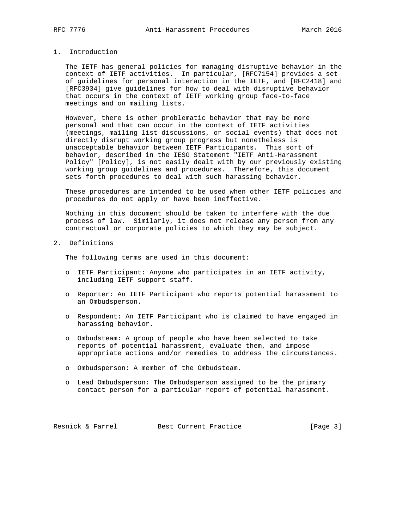## 1. Introduction

 The IETF has general policies for managing disruptive behavior in the context of IETF activities. In particular, [RFC7154] provides a set of guidelines for personal interaction in the IETF, and [RFC2418] and [RFC3934] give guidelines for how to deal with disruptive behavior that occurs in the context of IETF working group face-to-face meetings and on mailing lists.

 However, there is other problematic behavior that may be more personal and that can occur in the context of IETF activities (meetings, mailing list discussions, or social events) that does not directly disrupt working group progress but nonetheless is unacceptable behavior between IETF Participants. This sort of behavior, described in the IESG Statement "IETF Anti-Harassment Policy" [Policy], is not easily dealt with by our previously existing working group guidelines and procedures. Therefore, this document sets forth procedures to deal with such harassing behavior.

 These procedures are intended to be used when other IETF policies and procedures do not apply or have been ineffective.

 Nothing in this document should be taken to interfere with the due process of law. Similarly, it does not release any person from any contractual or corporate policies to which they may be subject.

2. Definitions

The following terms are used in this document:

- o IETF Participant: Anyone who participates in an IETF activity, including IETF support staff.
- o Reporter: An IETF Participant who reports potential harassment to an Ombudsperson.
- o Respondent: An IETF Participant who is claimed to have engaged in harassing behavior.
- o Ombudsteam: A group of people who have been selected to take reports of potential harassment, evaluate them, and impose appropriate actions and/or remedies to address the circumstances.
- o Ombudsperson: A member of the Ombudsteam.
- o Lead Ombudsperson: The Ombudsperson assigned to be the primary contact person for a particular report of potential harassment.

Resnick & Farrel Best Current Practice [Page 3]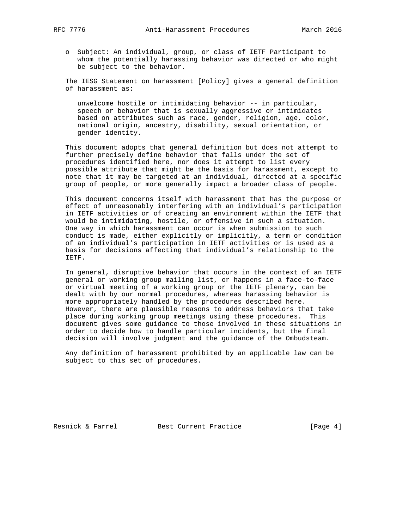- - o Subject: An individual, group, or class of IETF Participant to whom the potentially harassing behavior was directed or who might be subject to the behavior.

 The IESG Statement on harassment [Policy] gives a general definition of harassment as:

 unwelcome hostile or intimidating behavior -- in particular, speech or behavior that is sexually aggressive or intimidates based on attributes such as race, gender, religion, age, color, national origin, ancestry, disability, sexual orientation, or gender identity.

 This document adopts that general definition but does not attempt to further precisely define behavior that falls under the set of procedures identified here, nor does it attempt to list every possible attribute that might be the basis for harassment, except to note that it may be targeted at an individual, directed at a specific group of people, or more generally impact a broader class of people.

 This document concerns itself with harassment that has the purpose or effect of unreasonably interfering with an individual's participation in IETF activities or of creating an environment within the IETF that would be intimidating, hostile, or offensive in such a situation. One way in which harassment can occur is when submission to such conduct is made, either explicitly or implicitly, a term or condition of an individual's participation in IETF activities or is used as a basis for decisions affecting that individual's relationship to the IETF.

 In general, disruptive behavior that occurs in the context of an IETF general or working group mailing list, or happens in a face-to-face or virtual meeting of a working group or the IETF plenary, can be dealt with by our normal procedures, whereas harassing behavior is more appropriately handled by the procedures described here. However, there are plausible reasons to address behaviors that take place during working group meetings using these procedures. This document gives some guidance to those involved in these situations in order to decide how to handle particular incidents, but the final decision will involve judgment and the guidance of the Ombudsteam.

 Any definition of harassment prohibited by an applicable law can be subject to this set of procedures.

Resnick & Farrel Best Current Practice [Page 4]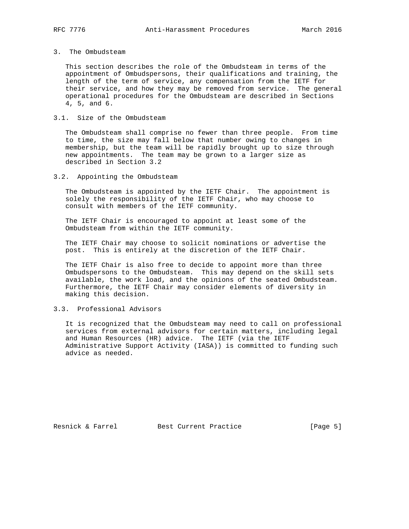# 3. The Ombudsteam

 This section describes the role of the Ombudsteam in terms of the appointment of Ombudspersons, their qualifications and training, the length of the term of service, any compensation from the IETF for their service, and how they may be removed from service. The general operational procedures for the Ombudsteam are described in Sections 4, 5, and 6.

## 3.1. Size of the Ombudsteam

 The Ombudsteam shall comprise no fewer than three people. From time to time, the size may fall below that number owing to changes in membership, but the team will be rapidly brought up to size through new appointments. The team may be grown to a larger size as described in Section 3.2

3.2. Appointing the Ombudsteam

 The Ombudsteam is appointed by the IETF Chair. The appointment is solely the responsibility of the IETF Chair, who may choose to consult with members of the IETF community.

 The IETF Chair is encouraged to appoint at least some of the Ombudsteam from within the IETF community.

 The IETF Chair may choose to solicit nominations or advertise the post. This is entirely at the discretion of the IETF Chair.

 The IETF Chair is also free to decide to appoint more than three Ombudspersons to the Ombudsteam. This may depend on the skill sets available, the work load, and the opinions of the seated Ombudsteam. Furthermore, the IETF Chair may consider elements of diversity in making this decision.

## 3.3. Professional Advisors

 It is recognized that the Ombudsteam may need to call on professional services from external advisors for certain matters, including legal and Human Resources (HR) advice. The IETF (via the IETF Administrative Support Activity (IASA)) is committed to funding such advice as needed.

Resnick & Farrel Best Current Practice [Page 5]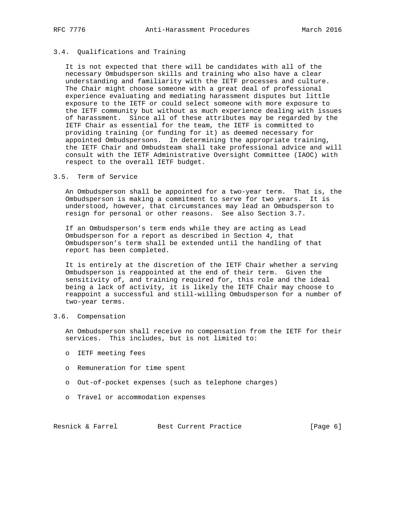### 3.4. Qualifications and Training

 It is not expected that there will be candidates with all of the necessary Ombudsperson skills and training who also have a clear understanding and familiarity with the IETF processes and culture. The Chair might choose someone with a great deal of professional experience evaluating and mediating harassment disputes but little exposure to the IETF or could select someone with more exposure to the IETF community but without as much experience dealing with issues of harassment. Since all of these attributes may be regarded by the IETF Chair as essential for the team, the IETF is committed to providing training (or funding for it) as deemed necessary for appointed Ombudspersons. In determining the appropriate training, the IETF Chair and Ombudsteam shall take professional advice and will consult with the IETF Administrative Oversight Committee (IAOC) with respect to the overall IETF budget.

#### 3.5. Term of Service

 An Ombudsperson shall be appointed for a two-year term. That is, the Ombudsperson is making a commitment to serve for two years. It is understood, however, that circumstances may lead an Ombudsperson to resign for personal or other reasons. See also Section 3.7.

 If an Ombudsperson's term ends while they are acting as Lead Ombudsperson for a report as described in Section 4, that Ombudsperson's term shall be extended until the handling of that report has been completed.

 It is entirely at the discretion of the IETF Chair whether a serving Ombudsperson is reappointed at the end of their term. Given the sensitivity of, and training required for, this role and the ideal being a lack of activity, it is likely the IETF Chair may choose to reappoint a successful and still-willing Ombudsperson for a number of two-year terms.

## 3.6. Compensation

 An Ombudsperson shall receive no compensation from the IETF for their services. This includes, but is not limited to:

- o IETF meeting fees
- o Remuneration for time spent
- o Out-of-pocket expenses (such as telephone charges)
- o Travel or accommodation expenses

Resnick & Farrel Best Current Practice [Page 6]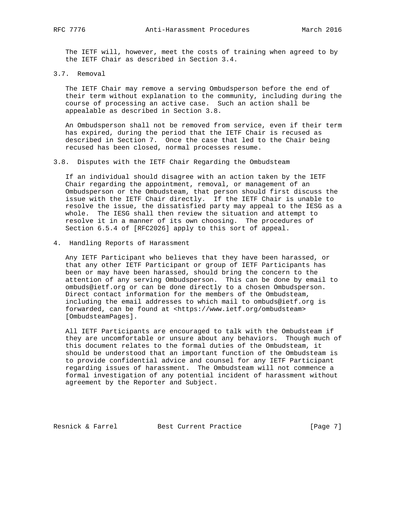The IETF will, however, meet the costs of training when agreed to by the IETF Chair as described in Section 3.4.

3.7. Removal

 The IETF Chair may remove a serving Ombudsperson before the end of their term without explanation to the community, including during the course of processing an active case. Such an action shall be appealable as described in Section 3.8.

 An Ombudsperson shall not be removed from service, even if their term has expired, during the period that the IETF Chair is recused as described in Section 7. Once the case that led to the Chair being recused has been closed, normal processes resume.

3.8. Disputes with the IETF Chair Regarding the Ombudsteam

 If an individual should disagree with an action taken by the IETF Chair regarding the appointment, removal, or management of an Ombudsperson or the Ombudsteam, that person should first discuss the issue with the IETF Chair directly. If the IETF Chair is unable to resolve the issue, the dissatisfied party may appeal to the IESG as a whole. The IESG shall then review the situation and attempt to resolve it in a manner of its own choosing. The procedures of Section 6.5.4 of [RFC2026] apply to this sort of appeal.

4. Handling Reports of Harassment

 Any IETF Participant who believes that they have been harassed, or that any other IETF Participant or group of IETF Participants has been or may have been harassed, should bring the concern to the attention of any serving Ombudsperson. This can be done by email to ombuds@ietf.org or can be done directly to a chosen Ombudsperson. Direct contact information for the members of the Ombudsteam, including the email addresses to which mail to ombuds@ietf.org is forwarded, can be found at <https://www.ietf.org/ombudsteam> [OmbudsteamPages].

 All IETF Participants are encouraged to talk with the Ombudsteam if they are uncomfortable or unsure about any behaviors. Though much of this document relates to the formal duties of the Ombudsteam, it should be understood that an important function of the Ombudsteam is to provide confidential advice and counsel for any IETF Participant regarding issues of harassment. The Ombudsteam will not commence a formal investigation of any potential incident of harassment without agreement by the Reporter and Subject.

Resnick & Farrel Best Current Practice [Page 7]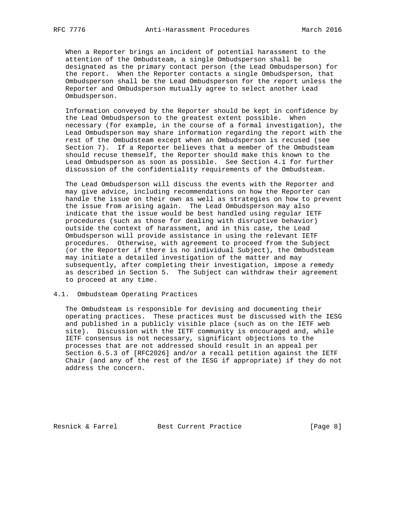When a Reporter brings an incident of potential harassment to the attention of the Ombudsteam, a single Ombudsperson shall be designated as the primary contact person (the Lead Ombudsperson) for the report. When the Reporter contacts a single Ombudsperson, that Ombudsperson shall be the Lead Ombudsperson for the report unless the Reporter and Ombudsperson mutually agree to select another Lead Ombudsperson.

 Information conveyed by the Reporter should be kept in confidence by the Lead Ombudsperson to the greatest extent possible. When necessary (for example, in the course of a formal investigation), the Lead Ombudsperson may share information regarding the report with the rest of the Ombudsteam except when an Ombudsperson is recused (see Section 7). If a Reporter believes that a member of the Ombudsteam should recuse themself, the Reporter should make this known to the Lead Ombudsperson as soon as possible. See Section 4.1 for further discussion of the confidentiality requirements of the Ombudsteam.

 The Lead Ombudsperson will discuss the events with the Reporter and may give advice, including recommendations on how the Reporter can handle the issue on their own as well as strategies on how to prevent the issue from arising again. The Lead Ombudsperson may also indicate that the issue would be best handled using regular IETF procedures (such as those for dealing with disruptive behavior) outside the context of harassment, and in this case, the Lead Ombudsperson will provide assistance in using the relevant IETF procedures. Otherwise, with agreement to proceed from the Subject (or the Reporter if there is no individual Subject), the Ombudsteam may initiate a detailed investigation of the matter and may subsequently, after completing their investigation, impose a remedy as described in Section 5. The Subject can withdraw their agreement to proceed at any time.

## 4.1. Ombudsteam Operating Practices

 The Ombudsteam is responsible for devising and documenting their operating practices. These practices must be discussed with the IESG and published in a publicly visible place (such as on the IETF web site). Discussion with the IETF community is encouraged and, while IETF consensus is not necessary, significant objections to the processes that are not addressed should result in an appeal per Section 6.5.3 of [RFC2026] and/or a recall petition against the IETF Chair (and any of the rest of the IESG if appropriate) if they do not address the concern.

Resnick & Farrel Best Current Practice [Page 8]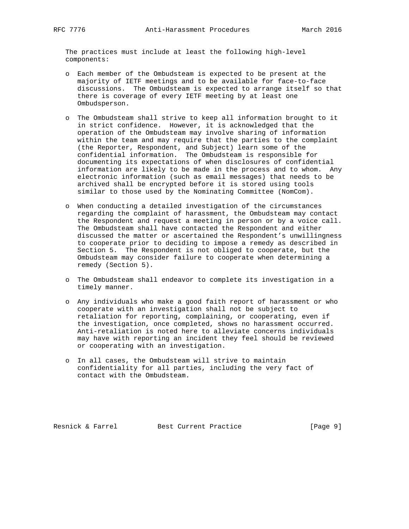The practices must include at least the following high-level components:

- o Each member of the Ombudsteam is expected to be present at the majority of IETF meetings and to be available for face-to-face discussions. The Ombudsteam is expected to arrange itself so that there is coverage of every IETF meeting by at least one Ombudsperson.
- o The Ombudsteam shall strive to keep all information brought to it in strict confidence. However, it is acknowledged that the operation of the Ombudsteam may involve sharing of information within the team and may require that the parties to the complaint (the Reporter, Respondent, and Subject) learn some of the confidential information. The Ombudsteam is responsible for documenting its expectations of when disclosures of confidential information are likely to be made in the process and to whom. Any electronic information (such as email messages) that needs to be archived shall be encrypted before it is stored using tools similar to those used by the Nominating Committee (NomCom).
- o When conducting a detailed investigation of the circumstances regarding the complaint of harassment, the Ombudsteam may contact the Respondent and request a meeting in person or by a voice call. The Ombudsteam shall have contacted the Respondent and either discussed the matter or ascertained the Respondent's unwillingness to cooperate prior to deciding to impose a remedy as described in Section 5. The Respondent is not obliged to cooperate, but the Ombudsteam may consider failure to cooperate when determining a remedy (Section 5).
- o The Ombudsteam shall endeavor to complete its investigation in a timely manner.
- o Any individuals who make a good faith report of harassment or who cooperate with an investigation shall not be subject to retaliation for reporting, complaining, or cooperating, even if the investigation, once completed, shows no harassment occurred. Anti-retaliation is noted here to alleviate concerns individuals may have with reporting an incident they feel should be reviewed or cooperating with an investigation.
- o In all cases, the Ombudsteam will strive to maintain confidentiality for all parties, including the very fact of contact with the Ombudsteam.

Resnick & Farrel Best Current Practice [Page 9]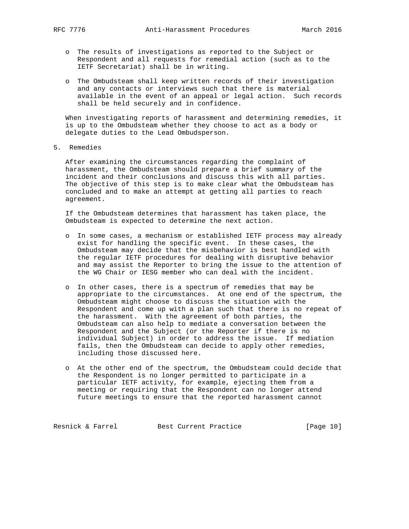- o The results of investigations as reported to the Subject or Respondent and all requests for remedial action (such as to the IETF Secretariat) shall be in writing.
- o The Ombudsteam shall keep written records of their investigation and any contacts or interviews such that there is material available in the event of an appeal or legal action. Such records shall be held securely and in confidence.

 When investigating reports of harassment and determining remedies, it is up to the Ombudsteam whether they choose to act as a body or delegate duties to the Lead Ombudsperson.

5. Remedies

 After examining the circumstances regarding the complaint of harassment, the Ombudsteam should prepare a brief summary of the incident and their conclusions and discuss this with all parties. The objective of this step is to make clear what the Ombudsteam has concluded and to make an attempt at getting all parties to reach agreement.

 If the Ombudsteam determines that harassment has taken place, the Ombudsteam is expected to determine the next action.

- o In some cases, a mechanism or established IETF process may already exist for handling the specific event. In these cases, the Ombudsteam may decide that the misbehavior is best handled with the regular IETF procedures for dealing with disruptive behavior and may assist the Reporter to bring the issue to the attention of the WG Chair or IESG member who can deal with the incident.
- o In other cases, there is a spectrum of remedies that may be appropriate to the circumstances. At one end of the spectrum, the Ombudsteam might choose to discuss the situation with the Respondent and come up with a plan such that there is no repeat of the harassment. With the agreement of both parties, the Ombudsteam can also help to mediate a conversation between the Respondent and the Subject (or the Reporter if there is no individual Subject) in order to address the issue. If mediation fails, then the Ombudsteam can decide to apply other remedies, including those discussed here.
- o At the other end of the spectrum, the Ombudsteam could decide that the Respondent is no longer permitted to participate in a particular IETF activity, for example, ejecting them from a meeting or requiring that the Respondent can no longer attend future meetings to ensure that the reported harassment cannot

Resnick & Farrel Best Current Practice [Page 10]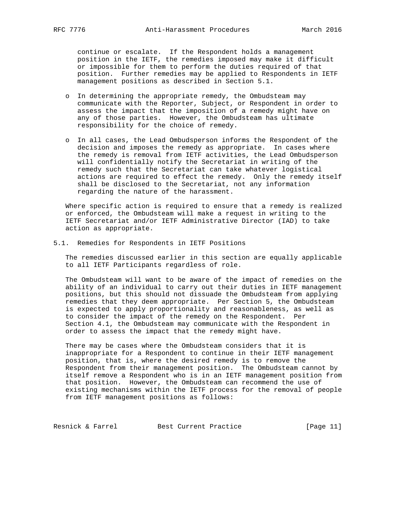continue or escalate. If the Respondent holds a management position in the IETF, the remedies imposed may make it difficult or impossible for them to perform the duties required of that position. Further remedies may be applied to Respondents in IETF management positions as described in Section 5.1.

- o In determining the appropriate remedy, the Ombudsteam may communicate with the Reporter, Subject, or Respondent in order to assess the impact that the imposition of a remedy might have on any of those parties. However, the Ombudsteam has ultimate responsibility for the choice of remedy.
- o In all cases, the Lead Ombudsperson informs the Respondent of the decision and imposes the remedy as appropriate. In cases where the remedy is removal from IETF activities, the Lead Ombudsperson will confidentially notify the Secretariat in writing of the remedy such that the Secretariat can take whatever logistical actions are required to effect the remedy. Only the remedy itself shall be disclosed to the Secretariat, not any information regarding the nature of the harassment.

 Where specific action is required to ensure that a remedy is realized or enforced, the Ombudsteam will make a request in writing to the IETF Secretariat and/or IETF Administrative Director (IAD) to take action as appropriate.

5.1. Remedies for Respondents in IETF Positions

 The remedies discussed earlier in this section are equally applicable to all IETF Participants regardless of role.

 The Ombudsteam will want to be aware of the impact of remedies on the ability of an individual to carry out their duties in IETF management positions, but this should not dissuade the Ombudsteam from applying remedies that they deem appropriate. Per Section 5, the Ombudsteam is expected to apply proportionality and reasonableness, as well as to consider the impact of the remedy on the Respondent. Per Section 4.1, the Ombudsteam may communicate with the Respondent in order to assess the impact that the remedy might have.

 There may be cases where the Ombudsteam considers that it is inappropriate for a Respondent to continue in their IETF management position, that is, where the desired remedy is to remove the Respondent from their management position. The Ombudsteam cannot by itself remove a Respondent who is in an IETF management position from that position. However, the Ombudsteam can recommend the use of existing mechanisms within the IETF process for the removal of people from IETF management positions as follows:

Resnick & Farrel Best Current Practice [Page 11]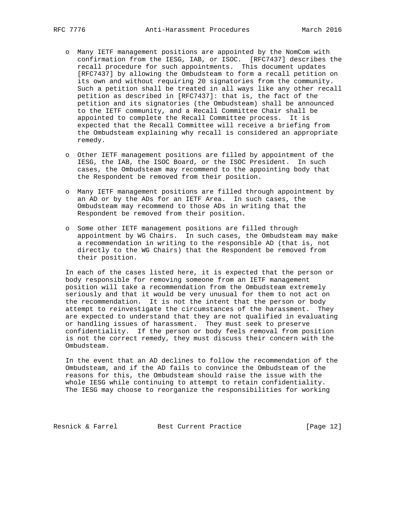- o Many IETF management positions are appointed by the NomCom with confirmation from the IESG, IAB, or ISOC. [RFC7437] describes the recall procedure for such appointments. This document updates [RFC7437] by allowing the Ombudsteam to form a recall petition on its own and without requiring 20 signatories from the community. Such a petition shall be treated in all ways like any other recall petition as described in [RFC7437]: that is, the fact of the petition and its signatories (the Ombudsteam) shall be announced to the IETF community, and a Recall Committee Chair shall be appointed to complete the Recall Committee process. It is expected that the Recall Committee will receive a briefing from the Ombudsteam explaining why recall is considered an appropriate remedy.
- o Other IETF management positions are filled by appointment of the IESG, the IAB, the ISOC Board, or the ISOC President. In such cases, the Ombudsteam may recommend to the appointing body that the Respondent be removed from their position.
- o Many IETF management positions are filled through appointment by an AD or by the ADs for an IETF Area. In such cases, the Ombudsteam may recommend to those ADs in writing that the Respondent be removed from their position.
- o Some other IETF management positions are filled through appointment by WG Chairs. In such cases, the Ombudsteam may make a recommendation in writing to the responsible AD (that is, not directly to the WG Chairs) that the Respondent be removed from their position.

 In each of the cases listed here, it is expected that the person or body responsible for removing someone from an IETF management position will take a recommendation from the Ombudsteam extremely seriously and that it would be very unusual for them to not act on the recommendation. It is not the intent that the person or body attempt to reinvestigate the circumstances of the harassment. They are expected to understand that they are not qualified in evaluating or handling issues of harassment. They must seek to preserve confidentiality. If the person or body feels removal from position is not the correct remedy, they must discuss their concern with the Ombudsteam.

 In the event that an AD declines to follow the recommendation of the Ombudsteam, and if the AD fails to convince the Ombudsteam of the reasons for this, the Ombudsteam should raise the issue with the whole IESG while continuing to attempt to retain confidentiality. The IESG may choose to reorganize the responsibilities for working

Resnick & Farrel Best Current Practice [Page 12]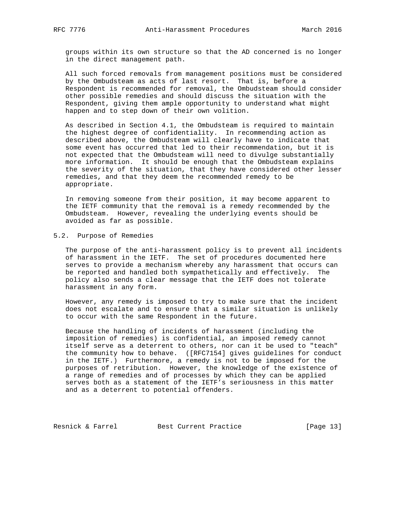groups within its own structure so that the AD concerned is no longer in the direct management path.

 All such forced removals from management positions must be considered by the Ombudsteam as acts of last resort. That is, before a Respondent is recommended for removal, the Ombudsteam should consider other possible remedies and should discuss the situation with the Respondent, giving them ample opportunity to understand what might happen and to step down of their own volition.

 As described in Section 4.1, the Ombudsteam is required to maintain the highest degree of confidentiality. In recommending action as described above, the Ombudsteam will clearly have to indicate that some event has occurred that led to their recommendation, but it is not expected that the Ombudsteam will need to divulge substantially more information. It should be enough that the Ombudsteam explains the severity of the situation, that they have considered other lesser remedies, and that they deem the recommended remedy to be appropriate.

 In removing someone from their position, it may become apparent to the IETF community that the removal is a remedy recommended by the Ombudsteam. However, revealing the underlying events should be avoided as far as possible.

## 5.2. Purpose of Remedies

 The purpose of the anti-harassment policy is to prevent all incidents of harassment in the IETF. The set of procedures documented here serves to provide a mechanism whereby any harassment that occurs can be reported and handled both sympathetically and effectively. The policy also sends a clear message that the IETF does not tolerate harassment in any form.

 However, any remedy is imposed to try to make sure that the incident does not escalate and to ensure that a similar situation is unlikely to occur with the same Respondent in the future.

 Because the handling of incidents of harassment (including the imposition of remedies) is confidential, an imposed remedy cannot itself serve as a deterrent to others, nor can it be used to "teach" the community how to behave. ([RFC7154] gives guidelines for conduct in the IETF.) Furthermore, a remedy is not to be imposed for the purposes of retribution. However, the knowledge of the existence of a range of remedies and of processes by which they can be applied serves both as a statement of the IETF's seriousness in this matter and as a deterrent to potential offenders.

Resnick & Farrel Best Current Practice [Page 13]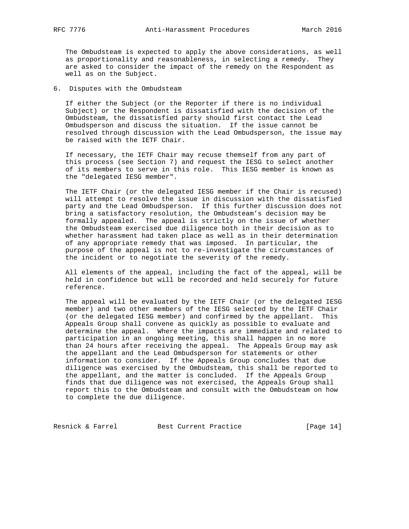The Ombudsteam is expected to apply the above considerations, as well as proportionality and reasonableness, in selecting a remedy. They are asked to consider the impact of the remedy on the Respondent as well as on the Subject.

#### 6. Disputes with the Ombudsteam

 If either the Subject (or the Reporter if there is no individual Subject) or the Respondent is dissatisfied with the decision of the Ombudsteam, the dissatisfied party should first contact the Lead Ombudsperson and discuss the situation. If the issue cannot be resolved through discussion with the Lead Ombudsperson, the issue may be raised with the IETF Chair.

 If necessary, the IETF Chair may recuse themself from any part of this process (see Section 7) and request the IESG to select another of its members to serve in this role. This IESG member is known as the "delegated IESG member".

 The IETF Chair (or the delegated IESG member if the Chair is recused) will attempt to resolve the issue in discussion with the dissatisfied party and the Lead Ombudsperson. If this further discussion does not bring a satisfactory resolution, the Ombudsteam's decision may be formally appealed. The appeal is strictly on the issue of whether the Ombudsteam exercised due diligence both in their decision as to whether harassment had taken place as well as in their determination of any appropriate remedy that was imposed. In particular, the purpose of the appeal is not to re-investigate the circumstances of the incident or to negotiate the severity of the remedy.

 All elements of the appeal, including the fact of the appeal, will be held in confidence but will be recorded and held securely for future reference.

 The appeal will be evaluated by the IETF Chair (or the delegated IESG member) and two other members of the IESG selected by the IETF Chair (or the delegated IESG member) and confirmed by the appellant. This Appeals Group shall convene as quickly as possible to evaluate and determine the appeal. Where the impacts are immediate and related to participation in an ongoing meeting, this shall happen in no more than 24 hours after receiving the appeal. The Appeals Group may ask the appellant and the Lead Ombudsperson for statements or other information to consider. If the Appeals Group concludes that due diligence was exercised by the Ombudsteam, this shall be reported to the appellant, and the matter is concluded. If the Appeals Group finds that due diligence was not exercised, the Appeals Group shall report this to the Ombudsteam and consult with the Ombudsteam on how to complete the due diligence.

Resnick & Farrel Best Current Practice [Page 14]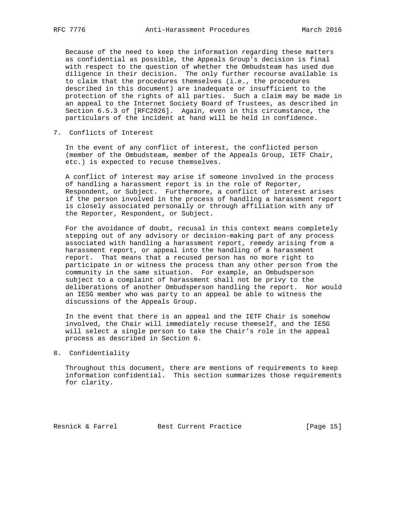Because of the need to keep the information regarding these matters as confidential as possible, the Appeals Group's decision is final with respect to the question of whether the Ombudsteam has used due diligence in their decision. The only further recourse available is to claim that the procedures themselves (i.e., the procedures described in this document) are inadequate or insufficient to the protection of the rights of all parties. Such a claim may be made in an appeal to the Internet Society Board of Trustees, as described in Section 6.5.3 of [RFC2026]. Again, even in this circumstance, the particulars of the incident at hand will be held in confidence.

7. Conflicts of Interest

 In the event of any conflict of interest, the conflicted person (member of the Ombudsteam, member of the Appeals Group, IETF Chair, etc.) is expected to recuse themselves.

 A conflict of interest may arise if someone involved in the process of handling a harassment report is in the role of Reporter, Respondent, or Subject. Furthermore, a conflict of interest arises if the person involved in the process of handling a harassment report is closely associated personally or through affiliation with any of the Reporter, Respondent, or Subject.

 For the avoidance of doubt, recusal in this context means completely stepping out of any advisory or decision-making part of any process associated with handling a harassment report, remedy arising from a harassment report, or appeal into the handling of a harassment report. That means that a recused person has no more right to participate in or witness the process than any other person from the community in the same situation. For example, an Ombudsperson subject to a complaint of harassment shall not be privy to the deliberations of another Ombudsperson handling the report. Nor would an IESG member who was party to an appeal be able to witness the discussions of the Appeals Group.

 In the event that there is an appeal and the IETF Chair is somehow involved, the Chair will immediately recuse themself, and the IESG will select a single person to take the Chair's role in the appeal process as described in Section 6.

8. Confidentiality

 Throughout this document, there are mentions of requirements to keep information confidential. This section summarizes those requirements for clarity.

Resnick & Farrel Best Current Practice [Page 15]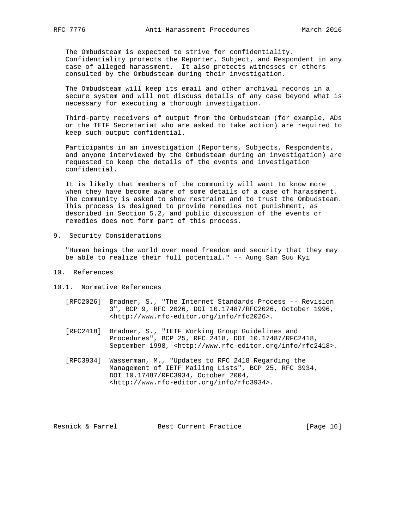The Ombudsteam is expected to strive for confidentiality. Confidentiality protects the Reporter, Subject, and Respondent in any case of alleged harassment. It also protects witnesses or others consulted by the Ombudsteam during their investigation.

 The Ombudsteam will keep its email and other archival records in a secure system and will not discuss details of any case beyond what is necessary for executing a thorough investigation.

 Third-party receivers of output from the Ombudsteam (for example, ADs or the IETF Secretariat who are asked to take action) are required to keep such output confidential.

 Participants in an investigation (Reporters, Subjects, Respondents, and anyone interviewed by the Ombudsteam during an investigation) are requested to keep the details of the events and investigation confidential.

 It is likely that members of the community will want to know more when they have become aware of some details of a case of harassment. The community is asked to show restraint and to trust the Ombudsteam. This process is designed to provide remedies not punishment, as described in Section 5.2, and public discussion of the events or remedies does not form part of this process.

9. Security Considerations

 "Human beings the world over need freedom and security that they may be able to realize their full potential." -- Aung San Suu Kyi

- 10. References
- 10.1. Normative References
	- [RFC2026] Bradner, S., "The Internet Standards Process -- Revision 3", BCP 9, RFC 2026, DOI 10.17487/RFC2026, October 1996, <http://www.rfc-editor.org/info/rfc2026>.
	- [RFC2418] Bradner, S., "IETF Working Group Guidelines and Procedures", BCP 25, RFC 2418, DOI 10.17487/RFC2418, September 1998, <http://www.rfc-editor.org/info/rfc2418>.
	- [RFC3934] Wasserman, M., "Updates to RFC 2418 Regarding the Management of IETF Mailing Lists", BCP 25, RFC 3934, DOI 10.17487/RFC3934, October 2004, <http://www.rfc-editor.org/info/rfc3934>.

Resnick & Farrel Best Current Practice [Page 16]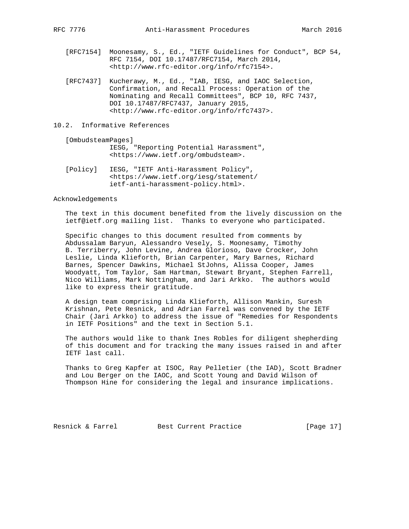- [RFC7154] Moonesamy, S., Ed., "IETF Guidelines for Conduct", BCP 54, RFC 7154, DOI 10.17487/RFC7154, March 2014, <http://www.rfc-editor.org/info/rfc7154>.
- [RFC7437] Kucherawy, M., Ed., "IAB, IESG, and IAOC Selection, Confirmation, and Recall Process: Operation of the Nominating and Recall Committees", BCP 10, RFC 7437, DOI 10.17487/RFC7437, January 2015, <http://www.rfc-editor.org/info/rfc7437>.
- 10.2. Informative References

[OmbudsteamPages]

- IESG, "Reporting Potential Harassment", <https://www.ietf.org/ombudsteam>.
- [Policy] IESG, "IETF Anti-Harassment Policy", <https://www.ietf.org/iesg/statement/ ietf-anti-harassment-policy.html>.

#### Acknowledgements

 The text in this document benefited from the lively discussion on the ietf@ietf.org mailing list. Thanks to everyone who participated.

 Specific changes to this document resulted from comments by Abdussalam Baryun, Alessandro Vesely, S. Moonesamy, Timothy B. Terriberry, John Levine, Andrea Glorioso, Dave Crocker, John Leslie, Linda Klieforth, Brian Carpenter, Mary Barnes, Richard Barnes, Spencer Dawkins, Michael StJohns, Alissa Cooper, James Woodyatt, Tom Taylor, Sam Hartman, Stewart Bryant, Stephen Farrell, Nico Williams, Mark Nottingham, and Jari Arkko. The authors would like to express their gratitude.

 A design team comprising Linda Klieforth, Allison Mankin, Suresh Krishnan, Pete Resnick, and Adrian Farrel was convened by the IETF Chair (Jari Arkko) to address the issue of "Remedies for Respondents in IETF Positions" and the text in Section 5.1.

 The authors would like to thank Ines Robles for diligent shepherding of this document and for tracking the many issues raised in and after IETF last call.

 Thanks to Greg Kapfer at ISOC, Ray Pelletier (the IAD), Scott Bradner and Lou Berger on the IAOC, and Scott Young and David Wilson of Thompson Hine for considering the legal and insurance implications.

Resnick & Farrel Best Current Practice [Page 17]